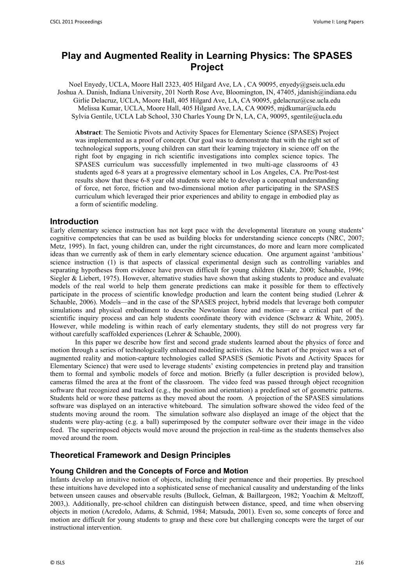# **Play and Augmented Reality in Learning Physics: The SPASES Project**

Noel Enyedy, UCLA, Moore Hall 2323, 405 Hilgard Ave, LA , CA 90095, enyedy@gseis.ucla.edu Joshua A. Danish, Indiana University, 201 North Rose Ave, Bloomington, IN, 47405, jdanish@indiana.edu Girlie Delacruz, UCLA, Moore Hall, 405 Hilgard Ave, LA, CA 90095, gdelacruz@cse.ucla.edu Melissa Kumar, UCLA, Moore Hall, 405 Hilgard Ave, LA, CA 90095, mjdkumar@ucla.edu Sylvia Gentile, UCLA Lab School, 330 Charles Young Dr N, LA, CA, 90095, sgentile@ucla.edu

**Abstract**: The Semiotic Pivots and Activity Spaces for Elementary Science (SPASES) Project was implemented as a proof of concept. Our goal was to demonstrate that with the right set of technological supports, young children can start their learning trajectory in science off on the right foot by engaging in rich scientific investigations into complex science topics. The SPASES curriculum was successfully implemented in two multi-age classrooms of 43 students aged 6-8 years at a progressive elementary school in Los Angeles, CA. Pre/Post-test results show that these 6-8 year old students were able to develop a conceptual understanding of force, net force, friction and two-dimensional motion after participating in the SPASES curriculum which leveraged their prior experiences and ability to engage in embodied play as a form of scientific modeling.

### **Introduction**

Early elementary science instruction has not kept pace with the developmental literature on young students' cognitive competencies that can be used as building blocks for understanding science concepts (NRC, 2007; Metz, 1995). In fact, young children can, under the right circumstances, do more and learn more complicated ideas than we currently ask of them in early elementary science education. One argument against 'ambitious' science instruction (1) is that aspects of classical experimental design such as controlling variables and separating hypotheses from evidence have proven difficult for young children (Klahr, 2000; Schauble, 1996; Siegler & Liebert, 1975). However, alternative studies have shown that asking students to produce and evaluate models of the real world to help them generate predictions can make it possible for them to effectively participate in the process of scientific knowledge production and learn the content being studied (Lehrer & Schauble, 2006). Models—and in the case of the SPASES project, hybrid models that leverage both computer simulations and physical embodiment to describe Newtonian force and motion—are a critical part of the scientific inquiry process and can help students coordinate theory with evidence (Schwarz & White, 2005). However, while modeling is within reach of early elementary students, they still do not progress very far without carefully scaffolded experiences (Lehrer & Schauble, 2000).

In this paper we describe how first and second grade students learned about the physics of force and motion through a series of technologically enhanced modeling activities. At the heart of the project was a set of augmented reality and motion-capture technologies called SPASES (Semiotic Pivots and Activity Spaces for Elementary Science) that were used to leverage students' existing competencies in pretend play and transition them to formal and symbolic models of force and motion. Briefly (a fuller description is provided below), cameras filmed the area at the front of the classroom. The video feed was passed through object recognition software that recognized and tracked (e.g., the position and orientation) a predefined set of geometric patterns. Students held or wore these patterns as they moved about the room. A projection of the SPASES simulations software was displayed on an interactive whiteboard. The simulation software showed the video feed of the students moving around the room. The simulation software also displayed an image of the object that the students were play-acting (e.g. a ball) superimposed by the computer software over their image in the video feed. The superimposed objects would move around the projection in real-time as the students themselves also moved around the room.

# **Theoretical Framework and Design Principles**

### **Young Children and the Concepts of Force and Motion**

Infants develop an intuitive notion of objects, including their permanence and their properties. By preschool these intuitions have developed into a sophisticated sense of mechanical causality and understanding of the links between unseen causes and observable results (Bullock, Gelman, & Baillargeon, 1982; Yoachim & Meltzoff, 2003,). Additionally, pre-school children can distinguish between distance, speed, and time when observing objects in motion (Acredolo, Adams, & Schmid, 1984; Matsuda, 2001). Even so, some concepts of force and motion are difficult for young students to grasp and these core but challenging concepts were the target of our instructional intervention.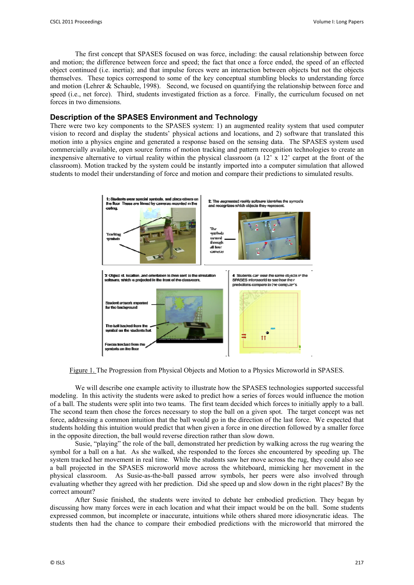The first concept that SPASES focused on was force, including: the causal relationship between force and motion; the difference between force and speed; the fact that once a force ended, the speed of an effected object continued (i.e. inertia); and that impulse forces were an interaction between objects but not the objects themselves. These topics correspond to some of the key conceptual stumbling blocks to understanding force and motion (Lehrer & Schauble, 1998). Second, we focused on quantifying the relationship between force and speed (i.e., net force). Third, students investigated friction as a force. Finally, the curriculum focused on net forces in two dimensions.

# **Description of the SPASES Environment and Technology**

There were two key components to the SPASES system: 1) an augmented reality system that used computer vision to record and display the students' physical actions and locations, and 2) software that translated this motion into a physics engine and generated a response based on the sensing data. The SPASES system used commercially available, open source forms of motion tracking and pattern recognition technologies to create an inexpensive alternative to virtual reality within the physical classroom (a  $12' \times 12'$  carpet at the front of the classroom). Motion tracked by the system could be instantly imported into a computer simulation that allowed students to model their understanding of force and motion and compare their predictions to simulated results.



Figure 1. The Progression from Physical Objects and Motion to a Physics Microworld in SPASES.

We will describe one example activity to illustrate how the SPASES technologies supported successful modeling. In this activity the students were asked to predict how a series of forces would influence the motion of a ball. The students were split into two teams. The first team decided which forces to initially apply to a ball. The second team then chose the forces necessary to stop the ball on a given spot. The target concept was net force, addressing a common intuition that the ball would go in the direction of the last force. We expected that students holding this intuition would predict that when given a force in one direction followed by a smaller force in the opposite direction, the ball would reverse direction rather than slow down.

Susie, "playing" the role of the ball, demonstrated her prediction by walking across the rug wearing the symbol for a ball on a hat. As she walked, she responded to the forces she encountered by speeding up. The system tracked her movement in real time. While the students saw her move across the rug, they could also see a ball projected in the SPASES microworld move across the whiteboard, mimicking her movement in the physical classroom. As Susie-as-the-ball passed arrow symbols, her peers were also involved through evaluating whether they agreed with her prediction. Did she speed up and slow down in the right places? By the correct amount?

After Susie finished, the students were invited to debate her embodied prediction. They began by discussing how many forces were in each location and what their impact would be on the ball. Some students expressed common, but incomplete or inaccurate, intuitions while others shared more idiosyncratic ideas. The students then had the chance to compare their embodied predictions with the microworld that mirrored the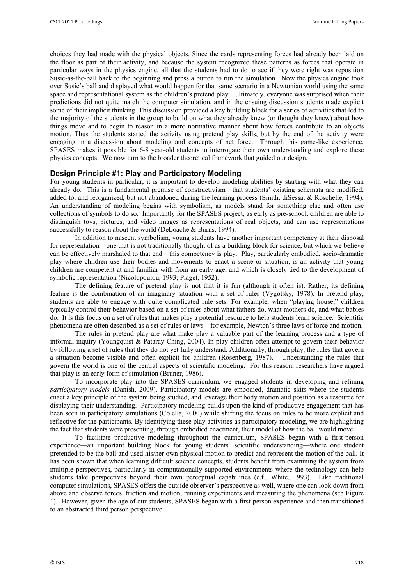choices they had made with the physical objects. Since the cards representing forces had already been laid on the floor as part of their activity, and because the system recognized these patterns as forces that operate in particular ways in the physics engine, all that the students had to do to see if they were right was reposition Susie-as-the-ball back to the beginning and press a button to run the simulation. Now the physics engine took over Susie's ball and displayed what would happen for that same scenario in a Newtonian world using the same space and representational system as the children's pretend play. Ultimately, everyone was surprised when their predictions did not quite match the computer simulation, and in the ensuing discussion students made explicit some of their implicit thinking. This discussion provided a key building block for a series of activities that led to the majority of the students in the group to build on what they already knew (or thought they knew) about how things move and to begin to reason in a more normative manner about how forces contribute to an objects motion. Thus the students started the activity using pretend play skills, but by the end of the activity were engaging in a discussion about modeling and concepts of net force. Through this game-like experience, SPASES makes it possible for 6-8 year-old students to interrogate their own understanding and explore these physics concepts. We now turn to the broader theoretical framework that guided our design.

## **Design Principle #1: Play and Participatory Modeling**

For young students in particular, it is important to develop modeling abilities by starting with what they can already do. This is a fundamental premise of constructivism—that students' existing schemata are modified, added to, and reorganized, but not abandoned during the learning process (Smith, diSessa, & Roschelle, 1994). An understanding of modeling begins with symbolism, as models stand for something else and often use collections of symbols to do so. Importantly for the SPASES project, as early as pre-school, children are able to distinguish toys, pictures, and video images as representations of real objects, and can use representations successfully to reason about the world (DeLoache & Burns, 1994).

In addition to nascent symbolism, young students have another important competency at their disposal for representation—one that is not traditionally thought of as a building block for science, but which we believe can be effectively marshaled to that end—this competency is play. Play, particularly embodied, socio-dramatic play where children use their bodies and movements to enact a scene or situation, is an activity that young children are competent at and familiar with from an early age, and which is closely tied to the development of symbolic representation (Nicolopoulou, 1993; Piaget, 1952).

The defining feature of pretend play is not that it is fun (although it often is). Rather, its defining feature is the combination of an imaginary situation with a set of rules (Vygotsky, 1978). In pretend play, students are able to engage with quite complicated rule sets. For example, when "playing house," children typically control their behavior based on a set of rules about what fathers do, what mothers do, and what babies do. It is this focus on a set of rules that makes play a potential resource to help students learn science. Scientific phenomena are often described as a set of rules or laws—for example, Newton's three laws of force and motion.

The rules in pretend play are what make play a valuable part of the learning process and a type of informal inquiry (Youngquist & Pataray-Ching, 2004). In play children often attempt to govern their behavior by following a set of rules that they do not yet fully understand. Additionally, through play, the rules that govern a situation become visible and often explicit for children (Rosenberg, 1987). Understanding the rules that govern the world is one of the central aspects of scientific modeling. For this reason, researchers have argued that play is an early form of simulation (Bruner, 1986).

To incorporate play into the SPASES curriculum, we engaged students in developing and refining *participatory models* (Danish, 2009). Participatory models are embodied, dramatic skits where the students enact a key principle of the system being studied, and leverage their body motion and position as a resource for displaying their understanding. Participatory modeling builds upon the kind of productive engagement that has been seen in participatory simulations (Colella, 2000) while shifting the focus on rules to be more explicit and reflective for the participants. By identifying these play activities as participatory modeling, we are highlighting the fact that students were presenting, through embodied enactment, their model of how the ball would move.

To facilitate productive modeling throughout the curriculum, SPASES began with a first-person experience—an important building block for young students' scientific understanding—where one student pretended to be the ball and used his/her own physical motion to predict and represent the motion of the ball. It has been shown that when learning difficult science concepts, students benefit from examining the system from multiple perspectives, particularly in computationally supported environments where the technology can help students take perspectives beyond their own perceptual capabilities (c.f., White, 1993). Like traditional computer simulations, SPASES offers the outside observer's perspective as well, where one can look down from above and observe forces, friction and motion, running experiments and measuring the phenomena (see Figure 1). However, given the age of our students, SPASES began with a first-person experience and then transitioned to an abstracted third person perspective.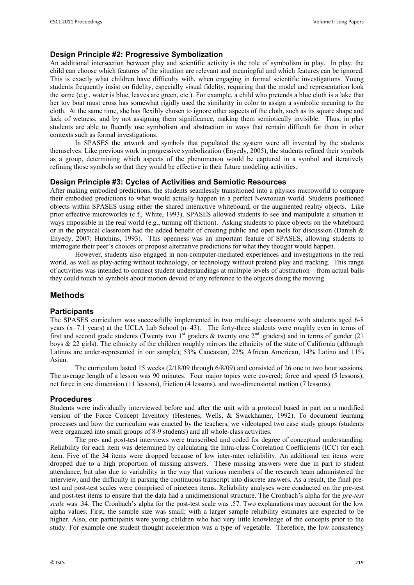# **Design Principle #2: Progressive Symbolization**

An additional intersection between play and scientific activity is the role of symbolism in play. In play, the child can choose which features of the situation are relevant and meaningful and which features can be ignored. This is exactly what children have difficulty with, when engaging in formal scientific investigations. Young students frequently insist on fidelity, especially visual fidelity, requiring that the model and representation look the same (e.g., water is blue, leaves are green, etc.). For example, a child who pretends a blue cloth is a lake that her toy boat must cross has somewhat rigidly used the similarity in color to assign a symbolic meaning to the cloth. At the same time, she has flexibly chosen to ignore other aspects of the cloth, such as its square shape and lack of wetness, and by not assigning them significance, making them semiotically invisible. Thus, in play students are able to fluently use symbolism and abstraction in ways that remain difficult for them in other contexts such as formal investigations.

In SPASES the artwork and symbols that populated the system were all invented by the students themselves. Like previous work in progressive symbolization (Enyedy, 2005), the students refined their symbols as a group, determining which aspects of the phenomenon would be captured in a symbol and iteratively refining those symbols so that they would be effective in their future modeling activities.

### **Design Principle #3: Cycles of Activities and Semiotic Resources**

After making embodied predictions, the students seamlessly transitioned into a physics microworld to compare their embodied predictions to what would actually happen in a perfect Newtonian world. Students positioned objects within SPASES using either the shared interactive whiteboard, or the augmented reality objects. Like prior effective microworlds (c.f., White, 1993), SPASES allowed students to see and manipulate a situation in ways impossible in the real world (e.g., turning off friction). Asking students to place objects on the whiteboard or in the physical classroom had the added benefit of creating public and open tools for discussion (Danish  $\&$ Enyedy, 2007; Hutchins, 1993). This openness was an important feature of SPASES, allowing students to interrogate their peer's choices or propose alternative predictions for what they thought would happen.

However, students also engaged in non-computer-mediated experiences and investigations in the real world, as well as play-acting without technology, or technology without pretend play and tracking. This range of activities was intended to connect student understandings at multiple levels of abstraction—from actual balls they could touch to symbols about motion devoid of any reference to the objects doing the moving.

# **Methods**

### **Participants**

The SPASES curriculum was successfully implemented in two multi-age classrooms with students aged 6-8 years (x=7.1 years) at the UCLA Lab School (n=43). The forty-three students were roughly even in terms of first and second grade students (Twenty two  $1<sup>st</sup>$  graders & twenty one  $2<sup>nd</sup>$  graders) and in terms of gender (21 boys & 22 girls). The ethnicity of the children roughly mirrors the ethnicity of the state of California (although Latinos are under-represented in our sample); 53% Caucasian, 22% African American, 14% Latino and 11% Asian.

The curriculum lasted 15 weeks (2/18/09 through 6/8/09) and consisted of 26 one to two hour sessions. The average length of a lesson was 90 minutes. Four major topics were covered; force and speed (5 lessons), net force in one dimension (11 lessons), friction (4 lessons), and two-dimensional motion (7 lessons).

#### **Procedures**

Students were individually interviewed before and after the unit with a protocol based in part on a modified version of the Force Concept Inventory (Hestenes, Wells, & Swackhamer, 1992). To document learning processes and how the curriculum was enacted by the teachers, we videotaped two case study groups (students were organized into small groups of 8-9 students) and all whole-class activities.

The pre- and post-test interviews were transcribed and coded for degree of conceptual understanding. Reliability for each item was determined by calculating the Intra-class Correlation Coefficients (ICC) for each item. Five of the 34 items were dropped because of low inter-rater reliability. An additional ten items were dropped due to a high proportion of missing answers. These missing answers were due in part to student attendance, but also due to variability in the way that various members of the research team administered the interview, and the difficulty in parsing the continuous transcript into discrete answers. As a result, the final pretest and post-test scales were comprised of nineteen items. Reliability analyses were conducted on the pre-test and post-test items to ensure that the data had a unidimensional structure. The Cronbach's alpha for the *pre-test scale* was .34. The Cronbach's alpha for the post-test scale was .57. Two explanations may account for the low alpha values. First, the sample size was small; with a larger sample reliability estimates are expected to be higher. Also, our participants were young children who had very little knowledge of the concepts prior to the study. For example one student thought acceleration was a type of vegetable. Therefore, the low consistency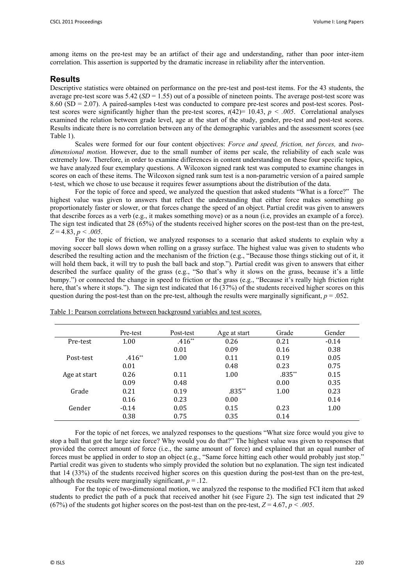among items on the pre-test may be an artifact of their age and understanding, rather than poor inter-item correlation. This assertion is supported by the dramatic increase in reliability after the intervention.

# **Results**

Descriptive statistics were obtained on performance on the pre-test and post-test items. For the 43 students, the average pre-test score was 5.42 (*SD* = 1.55) out of a possible of nineteen points. The average post-test score was 8.60 (SD = 2.07). A paired-samples t-test was conducted to compare pre-test scores and post-test scores. Posttest scores were significantly higher than the pre-test scores,  $t(42)=10.43$ ,  $p < .005$ . Correlational analyses examined the relation between grade level, age at the start of the study, gender, pre-test and post-test scores. Results indicate there is no correlation between any of the demographic variables and the assessment scores (see Table 1).

 Scales were formed for our four content objectives: *Force and speed, friction, net forces,* and *twodimensional motion.* However, due to the small number of items per scale, the reliability of each scale was extremely low. Therefore, in order to examine differences in content understanding on these four specific topics, we have analyzed four exemplary questions. A Wilcoxon signed rank test was computed to examine changes in scores on each of these items. The Wilcoxon signed rank sum test is a non-parametric version of a paired sample t-test, which we chose to use because it requires fewer assumptions about the distribution of the data.

 For the topic of force and speed, we analyzed the question that asked students "What is a force?" The highest value was given to answers that reflect the understanding that either force makes something go proportionately faster or slower, or that forces change the speed of an object. Partial credit was given to answers that describe forces as a verb (e.g., it makes something move) or as a noun (i.e, provides an example of a force). The sign test indicated that 28 (65%) of the students received higher scores on the post-test than on the pre-test, *Z* = 4.83, *p < .005*.

 For the topic of friction, we analyzed responses to a scenario that asked students to explain why a moving soccer ball slows down when rolling on a grassy surface. The highest value was given to students who described the resulting action and the mechanism of the friction (e.g., "Because those things sticking out of it, it will hold them back, it will try to push the ball back and stop."). Partial credit was given to answers that either described the surface quality of the grass (e.g., "So that's why it slows on the grass, because it's a little bumpy.") or connected the change in speed to friction or the grass (e.g., "Because it's really high friction right here, that's where it stops."). The sign test indicated that 16 (37%) of the students received higher scores on this question during the post-test than on the pre-test, although the results were marginally significant,  $p = .052$ .

|              | Pre-test | Post-test | Age at start | Grade    | Gender  |
|--------------|----------|-----------|--------------|----------|---------|
| Pre-test     | 1.00     | $.416**$  | 0.26         | 0.21     | $-0.14$ |
|              |          | 0.01      | 0.09         | 0.16     | 0.38    |
| Post-test    | $.416**$ | 1.00      | 0.11         | 0.19     | 0.05    |
|              | 0.01     |           | 0.48         | 0.23     | 0.75    |
| Age at start | 0.26     | 0.11      | 1.00         | $.835**$ | 0.15    |
|              | 0.09     | 0.48      |              | 0.00     | 0.35    |
| Grade        | 0.21     | 0.19      | $.835**$     | 1.00     | 0.23    |
|              | 0.16     | 0.23      | 0.00         |          | 0.14    |
| Gender       | $-0.14$  | 0.05      | 0.15         | 0.23     | 1.00    |
|              | 0.38     | 0.75      | 0.35         | 0.14     |         |

Table 1: Pearson correlations between background variables and test scores.

For the topic of net forces, we analyzed responses to the questions "What size force would you give to stop a ball that got the large size force? Why would you do that?" The highest value was given to responses that provided the correct amount of force (i.e., the same amount of force) and explained that an equal number of forces must be applied in order to stop an object (e.g., "Same force hitting each other would probably just stop." Partial credit was given to students who simply provided the solution but no explanation. The sign test indicated that 14 (33%) of the students received higher scores on this question during the post-test than on the pre-test, although the results were marginally significant,  $p = 0.12$ .

 For the topic of two-dimensional motion, we analyzed the response to the modified FCI item that asked students to predict the path of a puck that received another hit (see Figure 2). The sign test indicated that 29 (67%) of the students got higher scores on the post-test than on the pre-test,  $Z = 4.67$ ,  $p < .005$ .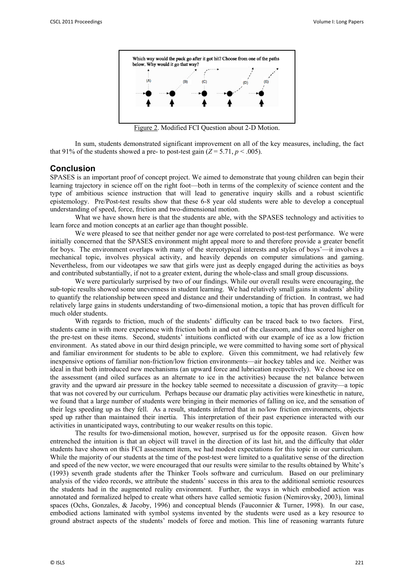

Figure 2. Modified FCI Question about 2-D Motion.

In sum, students demonstrated significant improvement on all of the key measures, including, the fact that 91% of the students showed a pre- to post-test gain  $(Z = 5.71, p < .005)$ .

#### **Conclusion**

SPASES is an important proof of concept project. We aimed to demonstrate that young children can begin their learning trajectory in science off on the right foot—both in terms of the complexity of science content and the type of ambitious science instruction that will lead to generative inquiry skills and a robust scientific epistemology. Pre/Post-test results show that these 6-8 year old students were able to develop a conceptual understanding of speed, force, friction and two-dimensional motion.

What we have shown here is that the students are able, with the SPASES technology and activities to learn force and motion concepts at an earlier age than thought possible.

We were pleased to see that neither gender nor age were correlated to post-test performance. We were initially concerned that the SPASES environment might appeal more to and therefore provide a greater benefit for boys. The environment overlaps with many of the stereotypical interests and styles of boys'—it involves a mechanical topic, involves physical activity, and heavily depends on computer simulations and gaming. Nevertheless, from our videotapes we saw that girls were just as deeply engaged during the activities as boys and contributed substantially, if not to a greater extent, during the whole-class and small group discussions.

 We were particularly surprised by two of our findings. While our overall results were encouraging, the sub-topic results showed some unevenness in student learning. We had relatively small gains in students' ability to quantify the relationship between speed and distance and their understanding of friction. In contrast, we had relatively large gains in students understanding of two-dimensional motion, a topic that has proven difficult for much older students.

With regards to friction, much of the students' difficulty can be traced back to two factors. First, students came in with more experience with friction both in and out of the classroom, and thus scored higher on the pre-test on these items. Second, students' intuitions conflicted with our example of ice as a low friction environment. As stated above in our third design principle, we were committed to having some sort of physical and familiar environment for students to be able to explore. Given this commitment, we had relatively few inexpensive options of familiar non-friction/low friction environments—air hockey tables and ice. Neither was ideal in that both introduced new mechanisms (an upward force and lubrication respectively). We choose ice on the assessment (and oiled surfaces as an alternate to ice in the activities) because the net balance between gravity and the upward air pressure in the hockey table seemed to necessitate a discussion of gravity—a topic that was not covered by our curriculum. Perhaps because our dramatic play activities were kinesthetic in nature, we found that a large number of students were bringing in their memories of falling on ice, and the sensation of their legs speeding up as they fell. As a result, students inferred that in no/low friction environments, objects sped up rather than maintained their inertia. This interpretation of their past experience interacted with our activities in unanticipated ways, contributing to our weaker results on this topic.

The results for two-dimensional motion, however, surprised us for the opposite reason. Given how entrenched the intuition is that an object will travel in the direction of its last hit, and the difficulty that older students have shown on this FCI assessment item, we had modest expectations for this topic in our curriculum. While the majority of our students at the time of the post-test were limited to a qualitative sense of the direction and speed of the new vector, we were encouraged that our results were similar to the results obtained by White's (1993) seventh grade students after the Thinker Tools software and curriculum. Based on our preliminary analysis of the video records, we attribute the students' success in this area to the additional semiotic resources the students had in the augmented reality environment. Further, the ways in which embodied action was annotated and formalized helped to create what others have called semiotic fusion (Nemirovsky, 2003), liminal spaces (Ochs, Gonzales, & Jacoby, 1996) and conceptual blends (Fauconnier & Turner, 1998). In our case, embodied actions laminated with symbol systems invented by the students were used as a key resource to ground abstract aspects of the students' models of force and motion. This line of reasoning warrants future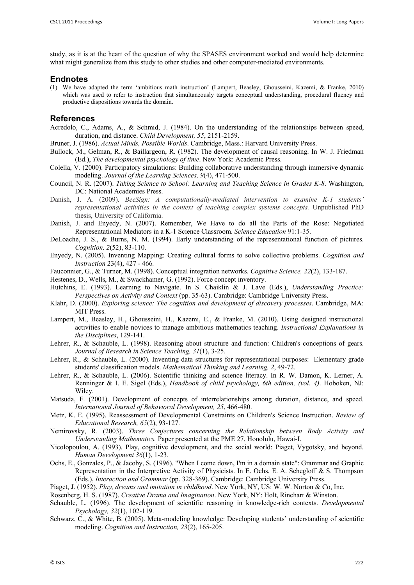study, as it is at the heart of the question of why the SPASES environment worked and would help determine what might generalize from this study to other studies and other computer-mediated environments.

#### **Endnotes**

(1) We have adapted the term 'ambitious math instruction' (Lampert, Beasley, Ghousseini, Kazemi, & Franke, 2010) which was used to refer to instruction that simultaneously targets conceptual understanding, procedural fluency and productive dispositions towards the domain.

# **References**

- Acredolo, C., Adams, A., & Schmid, J. (1984). On the understanding of the relationships between speed, duration, and distance. *Child Development, 55*, 2151-2159.
- Bruner, J. (1986). *Actual Minds, Possible Worlds*. Cambridge, Mass.: Harvard University Press.
- Bullock, M., Gelman, R., & Baillargeon, R. (1982). The development of causal reasoning. In W. J. Friedman (Ed.), *The developmental psychology of time*. New York: Academic Press.
- Colella, V. (2000). Participatory simulations: Building collaborative understanding through immersive dynamic modeling. *Journal of the Learning Sciences, 9*(4), 471-500.
- Council, N. R. (2007). *Taking Science to School: Learning and Teaching Science in Grades K-8*. Washington, DC: National Academies Press.
- Danish, J. A. (2009). *BeeSign: A computationally-mediated intervention to examine K-1 students' representational activities in the context of teaching complex systems concepts.* Unpublished PhD thesis, University of California.
- Danish, J. and Enyedy, N. (2007). Remember, We Have to do all the Parts of the Rose: Negotiated Representational Mediators in a K-1 Science Classroom. *Science Education* 91:1-35.
- DeLoache, J. S., & Burns, N. M. (1994). Early understanding of the representational function of pictures. *Cognition, 2*(52), 83-110.
- Enyedy, N. (2005). Inventing Mapping: Creating cultural forms to solve collective problems. *Cognition and Instruction* 23(4), 427 - 466*.*
- Fauconnier, G., & Turner, M. (1998). Conceptual integration networks. *Cognitive Science, 22*(2), 133-187.
- Hestenes, D., Wells, M., & Swackhamer, G. (1992). Force concept inventory.
- Hutchins, E. (1993). Learning to Navigate. In S. Chaiklin & J. Lave (Eds.), *Understanding Practice: Perspectives on Activity and Context* (pp. 35-63). Cambridge: Cambridge University Press.
- Klahr, D. (2000). *Exploring science: The cognition and development of discovery processes*. Cambridge, MA: MIT Press.
- Lampert, M., Beasley, H., Ghousseini, H., Kazemi, E., & Franke, M. (2010). Using designed instructional activities to enable novices to manage ambitious mathematics teaching. *Instructional Explanations in the Disciplines*, 129-141.
- Lehrer, R., & Schauble, L. (1998). Reasoning about structure and function: Children's conceptions of gears. *Journal of Research in Science Teaching, 31*(1), 3-25.
- Lehrer, R., & Schauble, L. (2000). Inventing data structures for representational purposes: Elementary grade students' classification models. *Mathematical Thinking and Learning, 2*, 49-72.
- Lehrer, R., & Schauble, L. (2006). Scientific thinking and science literacy. In R. W. Damon, K. Lerner, A. Renninger & I. E. Sigel (Eds.), *Handbook of child psychology, 6th edition, (vol. 4)*. Hoboken, NJ: Wiley.
- Matsuda, F. (2001). Development of concepts of interrelationships among duration, distance, and speed. *International Journal of Behavioral Development, 25*, 466-480.
- Metz, K. E. (1995). Reassessment of Developmental Constraints on Children's Science Instruction. *Review of Educational Research, 65*(2), 93-127.
- Nemirovsky, R. (2003). *Three Conjectures concerning the Relationship between Body Activity and Understanding Mathematics.* Paper presented at the PME 27, Honolulu, Hawai-I.
- Nicolopoulou, A. (1993). Play, cognitive development, and the social world: Piaget, Vygotsky, and beyond. *Human Development 36*(1), 1-23.
- Ochs, E., Gonzales, P., & Jacoby, S. (1996). "When I come down, I'm in a domain state": Grammar and Graphic Representation in the Interpretive Activity of Physicists. In E. Ochs, E. A. Schegloff & S. Thompson (Eds.), *Interaction and Grammar* (pp. 328-369). Cambridge: Cambridge University Press.
- Piaget, J. (1952). *Play, dreams and imitation in childhood*. New York, NY, US: W. W. Norton & Co, Inc.

Rosenberg, H. S. (1987). *Creative Drama and Imagination*. New York, NY: Holt, Rinehart & Winston.

- Schauble, L. (1996). The development of scientific reasoning in knowledge-rich contexts. *Developmental Psychology, 32*(1), 102-119.
- Schwarz, C., & White, B. (2005). Meta-modeling knowledge: Developing students' understanding of scientific modeling. *Cognition and Instruction, 23*(2), 165-205.